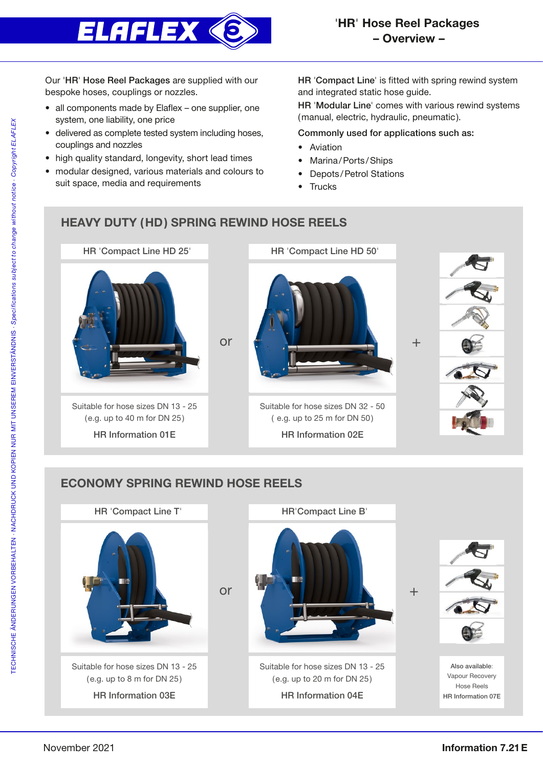

Our 'HR' Hose Reel Packages are supplied with our bespoke hoses, couplings or nozzles.

- all components made by Elaflex one supplier, one system, one liability, one price
- delivered as complete tested system including hoses, couplings and nozzles
- high quality standard, longevity, short lead times
- modular designed, various materials and colours to suit space, media and requirements

HR 'Compact Line' is fitted with spring rewind system and integrated static hose guide.

HR 'Modular Line' comes with various rewind systems (manual, electric, hydraulic, pneumatic).

## Commonly used for applications such as:

- Aviation
- Marina/Ports/Ships
- Depots/Petrol Stations
- Trucks

## HEAVY DUTY (HD) SPRING REWIND HOSE REELS



## ECONOMY SPRING REWIND HOSE REELS